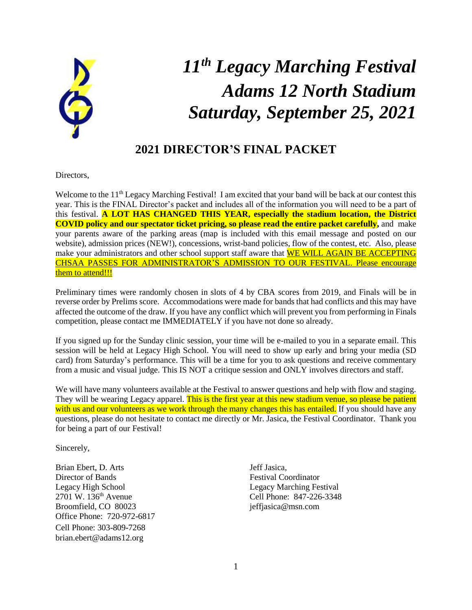

# *11 th Legacy Marching Festival Adams 12 North Stadium Saturday, September 25, 2021*

### **2021 DIRECTOR'S FINAL PACKET**

Directors,

Welcome to the 11<sup>th</sup> Legacy Marching Festival! I am excited that your band will be back at our contest this year. This is the FINAL Director's packet and includes all of the information you will need to be a part of this festival. **A LOT HAS CHANGED THIS YEAR, especially the stadium location, the District COVID policy and our spectator ticket pricing, so please read the entire packet carefully,** and make your parents aware of the parking areas (map is included with this email message and posted on our website), admission prices (NEW!), concessions, wrist-band policies, flow of the contest, etc. Also, please make your administrators and other school support staff aware that WE WILL AGAIN BE ACCEPTING CHSAA PASSES FOR ADMINISTRATOR'S ADMISSION TO OUR FESTIVAL. Please encourage them to attend!!!

Preliminary times were randomly chosen in slots of 4 by CBA scores from 2019, and Finals will be in reverse order by Prelims score. Accommodations were made for bands that had conflicts and this may have affected the outcome of the draw. If you have any conflict which will prevent you from performing in Finals competition, please contact me IMMEDIATELY if you have not done so already.

If you signed up for the Sunday clinic session, your time will be e-mailed to you in a separate email. This session will be held at Legacy High School. You will need to show up early and bring your media (SD card) from Saturday's performance. This will be a time for you to ask questions and receive commentary from a music and visual judge. This IS NOT a critique session and ONLY involves directors and staff.

We will have many volunteers available at the Festival to answer questions and help with flow and staging. They will be wearing Legacy apparel. This is the first year at this new stadium venue, so please be patient with us and our volunteers as we work through the many changes this has entailed. If you should have any questions, please do not hesitate to contact me directly or Mr. Jasica, the Festival Coordinator. Thank you for being a part of our Festival!

Sincerely,

Brian Ebert, D. Arts Jeff Jasica, Director of Bands Festival Coordinator Legacy High School Legacy Marching Festival<br>2701 W. 136<sup>th</sup> Avenue Cell Phone: 847-226-3348 Broomfield, CO 80023 jeffjasica@msn.com Office Phone: 720-972-6817 Cell Phone: 303-809-7268 brian.ebert@adams12.org

Cell Phone: 847-226-3348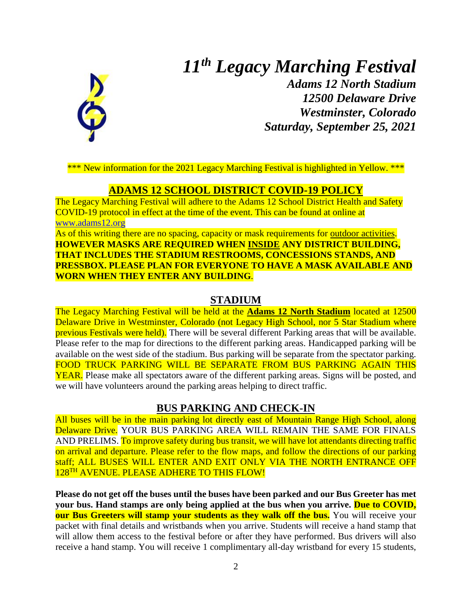# *11 th Legacy Marching Festival*



*Adams 12 North Stadium 12500 Delaware Drive Westminster, Colorado Saturday, September 25, 2021*

\*\*\* New information for the 2021 Legacy Marching Festival is highlighted in Yellow. \*\*\*

#### **ADAMS 12 SCHOOL DISTRICT COVID-19 POLICY**

The Legacy Marching Festival will adhere to the Adams 12 School District Health and Safety COVID-19 protocol in effect at the time of the event. This can be found at online at [www.adams12.org](http://www.adams12.org/)

As of this writing there are no spacing, capacity or mask requirements for outdoor activities. **HOWEVER MASKS ARE REQUIRED WHEN INSIDE ANY DISTRICT BUILDING, THAT INCLUDES THE STADIUM RESTROOMS, CONCESSIONS STANDS, AND PRESSBOX. PLEASE PLAN FOR EVERYONE TO HAVE A MASK AVAILABLE AND WORN WHEN THEY ENTER ANY BUILDING**.

#### **STADIUM**

The Legacy Marching Festival will be held at the **Adams 12 North Stadium** located at 12500 Delaware Drive in Westminster, Colorado (not Legacy High School, nor 5 Star Stadium where previous Festivals were held). There will be several different Parking areas that will be available. Please refer to the map for directions to the different parking areas. Handicapped parking will be available on the west side of the stadium. Bus parking will be separate from the spectator parking. FOOD TRUCK PARKING WILL BE SEPARATE FROM BUS PARKING AGAIN THIS YEAR. Please make all spectators aware of the different parking areas. Signs will be posted, and we will have volunteers around the parking areas helping to direct traffic.

#### **BUS PARKING AND CHECK-IN**

All buses will be in the main parking lot directly east of Mountain Range High School, along Delaware Drive. YOUR BUS PARKING AREA WILL REMAIN THE SAME FOR FINALS AND PRELIMS. To improve safety during bus transit, we will have lot attendants directing traffic on arrival and departure. Please refer to the flow maps, and follow the directions of our parking staff; ALL BUSES WILL ENTER AND EXIT ONLY VIA THE NORTH ENTRANCE OFF 128<sup>TH</sup> AVENUE. PLEASE ADHERE TO THIS FLOW!

**Please do not get off the buses until the buses have been parked and our Bus Greeter has met your bus. Hand stamps are only being applied at the bus when you arrive. Due to COVID, our Bus Greeters will stamp your students as they walk off the bus.** You will receive your packet with final details and wristbands when you arrive. Students will receive a hand stamp that will allow them access to the festival before or after they have performed. Bus drivers will also receive a hand stamp. You will receive 1 complimentary all-day wristband for every 15 students,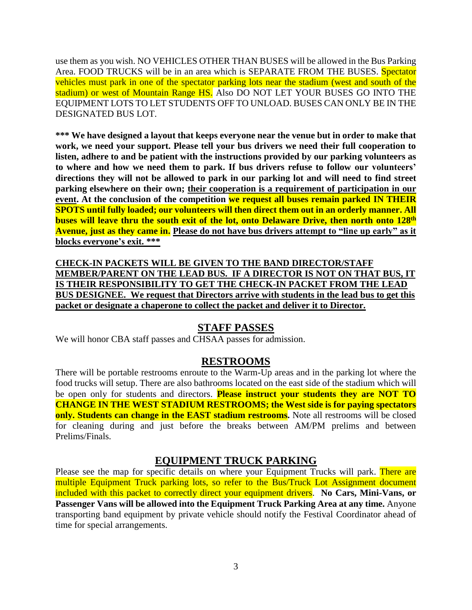use them as you wish. NO VEHICLES OTHER THAN BUSES will be allowed in the Bus Parking Area. FOOD TRUCKS will be in an area which is SEPARATE FROM THE BUSES. Spectator vehicles must park in one of the spectator parking lots near the stadium (west and south of the stadium) or west of Mountain Range HS. Also DO NOT LET YOUR BUSES GO INTO THE EQUIPMENT LOTS TO LET STUDENTS OFF TO UNLOAD. BUSES CAN ONLY BE IN THE DESIGNATED BUS LOT.

**\*\*\* We have designed a layout that keeps everyone near the venue but in order to make that work, we need your support. Please tell your bus drivers we need their full cooperation to listen, adhere to and be patient with the instructions provided by our parking volunteers as to where and how we need them to park. If bus drivers refuse to follow our volunteers' directions they will not be allowed to park in our parking lot and will need to find street parking elsewhere on their own; their cooperation is a requirement of participation in our event. At the conclusion of the competition we request all buses remain parked IN THEIR SPOTS until fully loaded; our volunteers will then direct them out in an orderly manner. All buses will leave thru the south exit of the lot, onto Delaware Drive, then north onto 128th Avenue, just as they came in. Please do not have bus drivers attempt to "line up early" as it blocks everyone's exit. \*\*\***

**CHECK-IN PACKETS WILL BE GIVEN TO THE BAND DIRECTOR/STAFF MEMBER/PARENT ON THE LEAD BUS. IF A DIRECTOR IS NOT ON THAT BUS, IT IS THEIR RESPONSIBILITY TO GET THE CHECK-IN PACKET FROM THE LEAD BUS DESIGNEE. We request that Directors arrive with students in the lead bus to get this packet or designate a chaperone to collect the packet and deliver it to Director.**

### **STAFF PASSES**

We will honor CBA staff passes and CHSAA passes for admission.

#### **RESTROOMS**

There will be portable restrooms enroute to the Warm-Up areas and in the parking lot where the food trucks will setup. There are also bathrooms located on the east side of the stadium which will be open only for students and directors. **Please instruct your students they are NOT TO CHANGE IN THE WEST STADIUM RESTROOMS; the West side is for paying spectators only. Students can change in the EAST stadium restrooms.** Note all restrooms will be closed for cleaning during and just before the breaks between AM/PM prelims and between Prelims/Finals.

### **EQUIPMENT TRUCK PARKING**

Please see the map for specific details on where your Equipment Trucks will park. There are multiple Equipment Truck parking lots, so refer to the Bus/Truck Lot Assignment document included with this packet to correctly direct your equipment drivers. **No Cars, Mini-Vans, or Passenger Vans will be allowed into the Equipment Truck Parking Area at any time.** Anyone transporting band equipment by private vehicle should notify the Festival Coordinator ahead of time for special arrangements.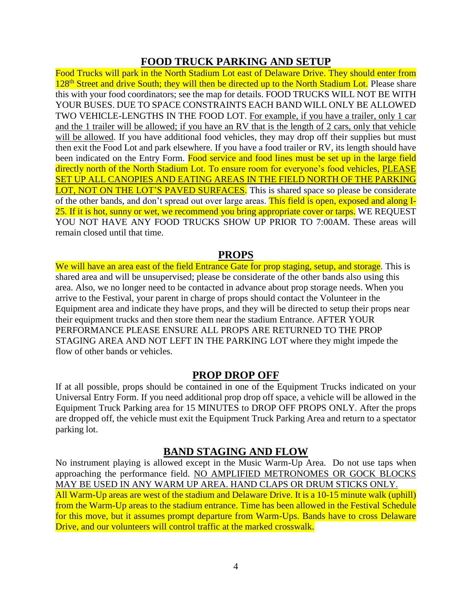#### **FOOD TRUCK PARKING AND SETUP**

Food Trucks will park in the North Stadium Lot east of Delaware Drive. They should enter from 128<sup>th</sup> Street and drive South; they will then be directed up to the North Stadium Lot. Please share this with your food coordinators; see the map for details. FOOD TRUCKS WILL NOT BE WITH YOUR BUSES. DUE TO SPACE CONSTRAINTS EACH BAND WILL ONLY BE ALLOWED TWO VEHICLE-LENGTHS IN THE FOOD LOT. For example, if you have a trailer, only 1 car and the 1 trailer will be allowed; if you have an RV that is the length of 2 cars, only that vehicle will be allowed. If you have additional food vehicles, they may drop off their supplies but must then exit the Food Lot and park elsewhere. If you have a food trailer or RV, its length should have been indicated on the Entry Form. Food service and food lines must be set up in the large field directly north of the North Stadium Lot. To ensure room for everyone's food vehicles, PLEASE SET UP ALL CANOPIES AND EATING AREAS IN THE FIELD NORTH OF THE PARKING LOT, NOT ON THE LOT'S PAVED SURFACES. This is shared space so please be considerate of the other bands, and don't spread out over large areas. This field is open, exposed and along I-25. If it is hot, sunny or wet, we recommend you bring appropriate cover or tarps. WE REOUEST YOU NOT HAVE ANY FOOD TRUCKS SHOW UP PRIOR TO 7:00AM. These areas will remain closed until that time.

#### **PROPS**

We will have an area east of the field Entrance Gate for prop staging, setup, and storage. This is shared area and will be unsupervised; please be considerate of the other bands also using this area. Also, we no longer need to be contacted in advance about prop storage needs. When you arrive to the Festival, your parent in charge of props should contact the Volunteer in the Equipment area and indicate they have props, and they will be directed to setup their props near their equipment trucks and then store them near the stadium Entrance. AFTER YOUR PERFORMANCE PLEASE ENSURE ALL PROPS ARE RETURNED TO THE PROP STAGING AREA AND NOT LEFT IN THE PARKING LOT where they might impede the flow of other bands or vehicles.

#### **PROP DROP OFF**

If at all possible, props should be contained in one of the Equipment Trucks indicated on your Universal Entry Form. If you need additional prop drop off space, a vehicle will be allowed in the Equipment Truck Parking area for 15 MINUTES to DROP OFF PROPS ONLY. After the props are dropped off, the vehicle must exit the Equipment Truck Parking Area and return to a spectator parking lot.

#### **BAND STAGING AND FLOW**

No instrument playing is allowed except in the Music Warm-Up Area. Do not use taps when approaching the performance field. NO AMPLIFIED METRONOMES OR GOCK BLOCKS MAY BE USED IN ANY WARM UP AREA. HAND CLAPS OR DRUM STICKS ONLY. All Warm-Up areas are west of the stadium and Delaware Drive. It is a 10-15 minute walk (uphill) from the Warm-Up areas to the stadium entrance. Time has been allowed in the Festival Schedule for this move, but it assumes prompt departure from Warm-Ups. Bands have to cross Delaware Drive, and our volunteers will control traffic at the marked crosswalk.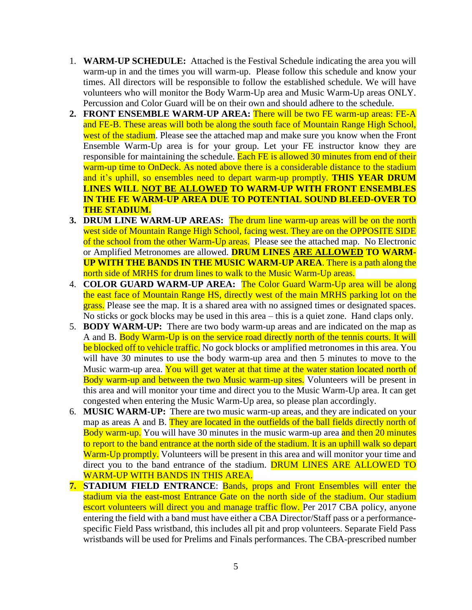- 1. **WARM-UP SCHEDULE:** Attached is the Festival Schedule indicating the area you will warm-up in and the times you will warm-up. Please follow this schedule and know your times. All directors will be responsible to follow the established schedule. We will have volunteers who will monitor the Body Warm-Up area and Music Warm-Up areas ONLY. Percussion and Color Guard will be on their own and should adhere to the schedule.
- **2. FRONT ENSEMBLE WARM-UP AREA:** There will be two FE warm-up areas: FE-A and FE-B. These areas will both be along the south face of Mountain Range High School, west of the stadium. Please see the attached map and make sure you know when the Front Ensemble Warm-Up area is for your group. Let your FE instructor know they are responsible for maintaining the schedule. Each FE is allowed 30 minutes from end of their warm-up time to OnDeck. As noted above there is a considerable distance to the stadium and it's uphill, so ensembles need to depart warm-up promptly. **THIS YEAR DRUM LINES WILL NOT BE ALLOWED TO WARM-UP WITH FRONT ENSEMBLES IN THE FE WARM-UP AREA DUE TO POTENTIAL SOUND BLEED-OVER TO THE STADIUM.**
- **3. DRUM LINE WARM-UP AREAS:** The drum line warm-up areas will be on the north west side of Mountain Range High School, facing west. They are on the OPPOSITE SIDE of the school from the other Warm-Up areas. Please see the attached map. No Electronic or Amplified Metronomes are allowed. **DRUM LINES ARE ALLOWED TO WARM-UP WITH THE BANDS IN THE MUSIC WARM-UP AREA**. There is a path along the north side of MRHS for drum lines to walk to the Music Warm-Up areas.
- 4. **COLOR GUARD WARM-UP AREA:** The Color Guard Warm-Up area will be along the east face of Mountain Range HS, directly west of the main MRHS parking lot on the grass. Please see the map. It is a shared area with no assigned times or designated spaces. No sticks or gock blocks may be used in this area – this is a quiet zone. Hand claps only.
- 5. **BODY WARM-UP:** There are two body warm-up areas and are indicated on the map as A and B. Body Warm-Up is on the service road directly north of the tennis courts. It will be blocked off to vehicle traffic. No gock blocks or amplified metronomes in this area. You will have 30 minutes to use the body warm-up area and then 5 minutes to move to the Music warm-up area. You will get water at that time at the water station located north of Body warm-up and between the two Music warm-up sites. Volunteers will be present in this area and will monitor your time and direct you to the Music Warm-Up area. It can get congested when entering the Music Warm-Up area, so please plan accordingly.
- 6. **MUSIC WARM-UP:** There are two music warm-up areas, and they are indicated on your map as areas A and B. They are located in the outfields of the ball fields directly north of Body warm-up. You will have 30 minutes in the music warm-up area and then 20 minutes to report to the band entrance at the north side of the stadium. It is an uphill walk so depart Warm-Up promptly. Volunteers will be present in this area and will monitor your time and direct you to the band entrance of the stadium. **DRUM LINES ARE ALLOWED TO** WARM-UP WITH BANDS IN THIS AREA.
- **7. STADIUM FIELD ENTRANCE**: Bands, props and Front Ensembles will enter the stadium via the east-most Entrance Gate on the north side of the stadium. Our stadium escort volunteers will direct you and manage traffic flow. Per 2017 CBA policy, anyone entering the field with a band must have either a CBA Director/Staff pass or a performancespecific Field Pass wristband, this includes all pit and prop volunteers. Separate Field Pass wristbands will be used for Prelims and Finals performances. The CBA-prescribed number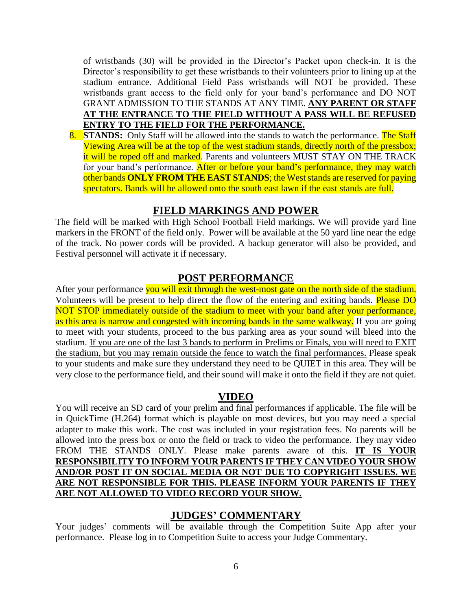of wristbands (30) will be provided in the Director's Packet upon check-in. It is the Director's responsibility to get these wristbands to their volunteers prior to lining up at the stadium entrance. Additional Field Pass wristbands will NOT be provided. These wristbands grant access to the field only for your band's performance and DO NOT GRANT ADMISSION TO THE STANDS AT ANY TIME. **ANY PARENT OR STAFF AT THE ENTRANCE TO THE FIELD WITHOUT A PASS WILL BE REFUSED ENTRY TO THE FIELD FOR THE PERFORMANCE.** 

8. **STANDS:** Only Staff will be allowed into the stands to watch the performance. The Staff Viewing Area will be at the top of the west stadium stands, directly north of the pressbox; it will be roped off and marked. Parents and volunteers MUST STAY ON THE TRACK for your band's performance. After or before your band's performance, they may watch other bands **ONLY FROM THE EAST STANDS**; the West stands are reserved for paying spectators. Bands will be allowed onto the south east lawn if the east stands are full.

#### **FIELD MARKINGS AND POWER**

The field will be marked with High School Football Field markings. We will provide yard line markers in the FRONT of the field only. Power will be available at the 50 yard line near the edge of the track. No power cords will be provided. A backup generator will also be provided, and Festival personnel will activate it if necessary.

#### **POST PERFORMANCE**

After your performance you will exit through the west-most gate on the north side of the stadium. Volunteers will be present to help direct the flow of the entering and exiting bands. Please DO NOT STOP immediately outside of the stadium to meet with your band after your performance, as this area is narrow and congested with incoming bands in the same walkway. If you are going to meet with your students, proceed to the bus parking area as your sound will bleed into the stadium. If you are one of the last 3 bands to perform in Prelims or Finals, you will need to EXIT the stadium, but you may remain outside the fence to watch the final performances. Please speak to your students and make sure they understand they need to be QUIET in this area. They will be very close to the performance field, and their sound will make it onto the field if they are not quiet.

#### **VIDEO**

You will receive an SD card of your prelim and final performances if applicable. The file will be in QuickTime (H.264) format which is playable on most devices, but you may need a special adapter to make this work. The cost was included in your registration fees. No parents will be allowed into the press box or onto the field or track to video the performance. They may video FROM THE STANDS ONLY. Please make parents aware of this. **IT IS YOUR RESPONSIBILITY TO INFORM YOUR PARENTS IF THEY CAN VIDEO YOUR SHOW AND/OR POST IT ON SOCIAL MEDIA OR NOT DUE TO COPYRIGHT ISSUES. WE ARE NOT RESPONSIBLE FOR THIS. PLEASE INFORM YOUR PARENTS IF THEY ARE NOT ALLOWED TO VIDEO RECORD YOUR SHOW.**

#### **JUDGES' COMMENTARY**

Your judges' comments will be available through the Competition Suite App after your performance. Please log in to Competition Suite to access your Judge Commentary.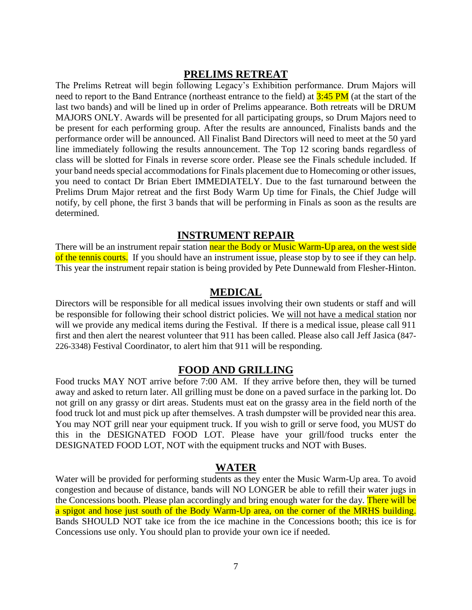#### **PRELIMS RETREAT**

The Prelims Retreat will begin following Legacy's Exhibition performance. Drum Majors will need to report to the Band Entrance (northeast entrance to the field) at  $3:45$  PM (at the start of the last two bands) and will be lined up in order of Prelims appearance. Both retreats will be DRUM MAJORS ONLY. Awards will be presented for all participating groups, so Drum Majors need to be present for each performing group. After the results are announced, Finalists bands and the performance order will be announced. All Finalist Band Directors will need to meet at the 50 yard line immediately following the results announcement. The Top 12 scoring bands regardless of class will be slotted for Finals in reverse score order. Please see the Finals schedule included. If your band needs special accommodations for Finals placement due to Homecoming or other issues, you need to contact Dr Brian Ebert IMMEDIATELY. Due to the fast turnaround between the Prelims Drum Major retreat and the first Body Warm Up time for Finals, the Chief Judge will notify, by cell phone, the first 3 bands that will be performing in Finals as soon as the results are determined.

#### **INSTRUMENT REPAIR**

There will be an instrument repair station near the Body or Music Warm-Up area, on the west side of the tennis courts. If you should have an instrument issue, please stop by to see if they can help. This year the instrument repair station is being provided by Pete Dunnewald from Flesher-Hinton.

#### **MEDICAL**

Directors will be responsible for all medical issues involving their own students or staff and will be responsible for following their school district policies. We will not have a medical station nor will we provide any medical items during the Festival. If there is a medical issue, please call 911 first and then alert the nearest volunteer that 911 has been called. Please also call Jeff Jasica (847- 226-3348) Festival Coordinator, to alert him that 911 will be responding.

#### **FOOD AND GRILLING**

Food trucks MAY NOT arrive before 7:00 AM. If they arrive before then, they will be turned away and asked to return later. All grilling must be done on a paved surface in the parking lot. Do not grill on any grassy or dirt areas. Students must eat on the grassy area in the field north of the food truck lot and must pick up after themselves. A trash dumpster will be provided near this area. You may NOT grill near your equipment truck. If you wish to grill or serve food, you MUST do this in the DESIGNATED FOOD LOT. Please have your grill/food trucks enter the DESIGNATED FOOD LOT, NOT with the equipment trucks and NOT with Buses.

#### **WATER**

Water will be provided for performing students as they enter the Music Warm-Up area. To avoid congestion and because of distance, bands will NO LONGER be able to refill their water jugs in the Concessions booth. Please plan accordingly and bring enough water for the day. There will be a spigot and hose just south of the Body Warm-Up area, on the corner of the MRHS building. Bands SHOULD NOT take ice from the ice machine in the Concessions booth; this ice is for Concessions use only. You should plan to provide your own ice if needed.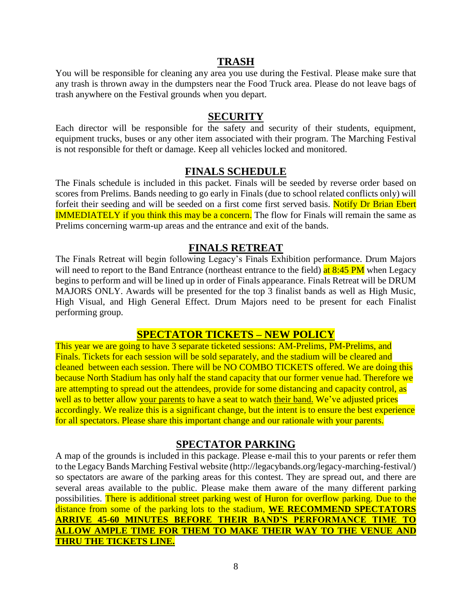#### **TRASH**

You will be responsible for cleaning any area you use during the Festival. Please make sure that any trash is thrown away in the dumpsters near the Food Truck area. Please do not leave bags of trash anywhere on the Festival grounds when you depart.

#### **SECURITY**

Each director will be responsible for the safety and security of their students, equipment, equipment trucks, buses or any other item associated with their program. The Marching Festival is not responsible for theft or damage. Keep all vehicles locked and monitored.

#### **FINALS SCHEDULE**

The Finals schedule is included in this packet. Finals will be seeded by reverse order based on scores from Prelims. Bands needing to go early in Finals (due to school related conflicts only) will forfeit their seeding and will be seeded on a first come first served basis. Notify Dr Brian Ebert **IMMEDIATELY** if you think this may be a concern. The flow for Finals will remain the same as Prelims concerning warm-up areas and the entrance and exit of the bands.

#### **FINALS RETREAT**

The Finals Retreat will begin following Legacy's Finals Exhibition performance. Drum Majors will need to report to the Band Entrance (northeast entrance to the field) at  $8:45 \text{ PM}$  when Legacy begins to perform and will be lined up in order of Finals appearance. Finals Retreat will be DRUM MAJORS ONLY. Awards will be presented for the top 3 finalist bands as well as High Music, High Visual, and High General Effect. Drum Majors need to be present for each Finalist performing group.

#### **SPECTATOR TICKETS – NEW POLICY**

This year we are going to have 3 separate ticketed sessions: AM-Prelims, PM-Prelims, and Finals. Tickets for each session will be sold separately, and the stadium will be cleared and cleaned between each session. There will be NO COMBO TICKETS offered. We are doing this because North Stadium has only half the stand capacity that our former venue had. Therefore we are attempting to spread out the attendees, provide for some distancing and capacity control, as well as to better allow your parents to have a seat to watch their band. We've adjusted prices accordingly. We realize this is a significant change, but the intent is to ensure the best experience for all spectators. Please share this important change and our rationale with your parents.

#### **SPECTATOR PARKING**

A map of the grounds is included in this package. Please e-mail this to your parents or refer them to the Legacy Bands Marching Festival website (http://legacybands.org/legacy-marching-festival/) so spectators are aware of the parking areas for this contest. They are spread out, and there are several areas available to the public. Please make them aware of the many different parking possibilities. There is additional street parking west of Huron for overflow parking. Due to the distance from some of the parking lots to the stadium, **WE RECOMMEND SPECTATORS ARRIVE 45-60 MINUTES BEFORE THEIR BAND'S PERFORMANCE TIME TO ALLOW AMPLE TIME FOR THEM TO MAKE THEIR WAY TO THE VENUE AND THRU THE TICKETS LINE.**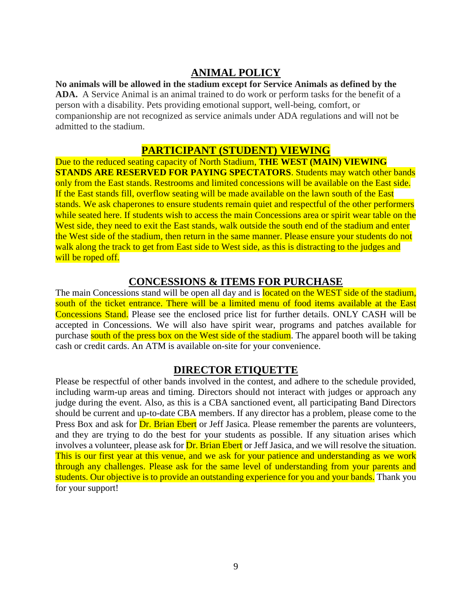### **ANIMAL POLICY**

**No animals will be allowed in the stadium except for Service Animals as defined by the ADA.** A Service Animal is an animal trained to do work or perform tasks for the benefit of a person with a disability. Pets providing emotional support, well-being, comfort, or companionship are not recognized as service animals under ADA regulations and will not be admitted to the stadium.

#### **PARTICIPANT (STUDENT) VIEWING**

Due to the reduced seating capacity of North Stadium, **THE WEST (MAIN) VIEWING STANDS ARE RESERVED FOR PAYING SPECTATORS**. Students may watch other bands only from the East stands. Restrooms and limited concessions will be available on the East side. If the East stands fill, overflow seating will be made available on the lawn south of the East stands. We ask chaperones to ensure students remain quiet and respectful of the other performers while seated here. If students wish to access the main Concessions area or spirit wear table on the West side, they need to exit the East stands, walk outside the south end of the stadium and enter the West side of the stadium, then return in the same manner. Please ensure your students do not walk along the track to get from East side to West side, as this is distracting to the judges and will be roped off.

#### **CONCESSIONS & ITEMS FOR PURCHASE**

The main Concessions stand will be open all day and is **located on the WEST** side of the stadium, south of the ticket entrance. There will be a limited menu of food items available at the East Concessions Stand. Please see the enclosed price list for further details. ONLY CASH will be accepted in Concessions. We will also have spirit wear, programs and patches available for purchase south of the press box on the West side of the stadium. The apparel booth will be taking cash or credit cards. An ATM is available on-site for your convenience.

#### **DIRECTOR ETIQUETTE**

Please be respectful of other bands involved in the contest, and adhere to the schedule provided, including warm-up areas and timing. Directors should not interact with judges or approach any judge during the event. Also, as this is a CBA sanctioned event, all participating Band Directors should be current and up-to-date CBA members. If any director has a problem, please come to the Press Box and ask for **Dr. Brian Ebert** or Jeff Jasica. Please remember the parents are volunteers, and they are trying to do the best for your students as possible. If any situation arises which involves a volunteer, please ask for **Dr. Brian Ebert** or Jeff Jasica, and we will resolve the situation. This is our first year at this venue, and we ask for your patience and understanding as we work through any challenges. Please ask for the same level of understanding from your parents and students. Our objective is to provide an outstanding experience for you and your bands. Thank you for your support!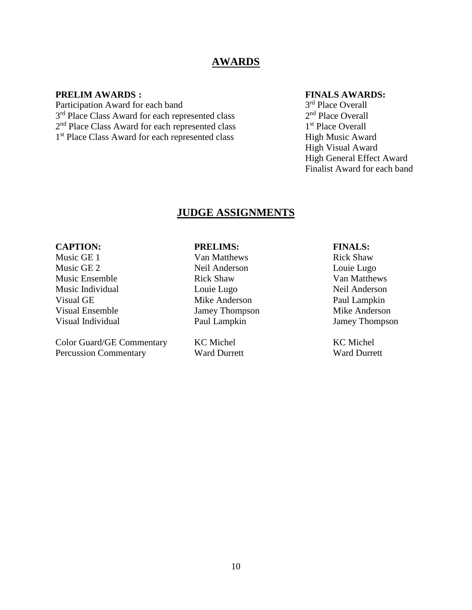#### **AWARDS**

#### **PRELIM AWARDS : FINALS AWARDS:**

Participation Award for each band 3<sup>rd</sup> Place Class Award for each represented class 2 2<sup>nd</sup> Place Class Award for each represented class 1 1<sup>st</sup> Place Class Award for each represented class High Music Award

3<sup>rd</sup> Place Overall  $2<sup>nd</sup>$  Place Overall 1<sup>st</sup> Place Overall High Visual Award High General Effect Award Finalist Award for each band

#### **JUDGE ASSIGNMENTS**

Color Guard/GE Commentary KC Michel KC Michel KC Michel Percussion Commentary Ward Durrett Ward Purrett Ward Durrett

#### **CAPTION: PRELIMS: FINALS:**

Music GE 1 **Starting CE 1** Van Matthews **Rick Shaw** Music GE 2 Neil Anderson Louie Lugo Music Ensemble Rick Shaw Van Matthews Music Individual Louie Lugo Neil Anderson Visual GE Mike Anderson Paul Lampkin Visual Ensemble *Jamey Thompson* Mike Anderson<br>
Visual Individual Paul Lampkin *Jamey Thompson* Visual Individual Paul Lampkin Jamey Thompson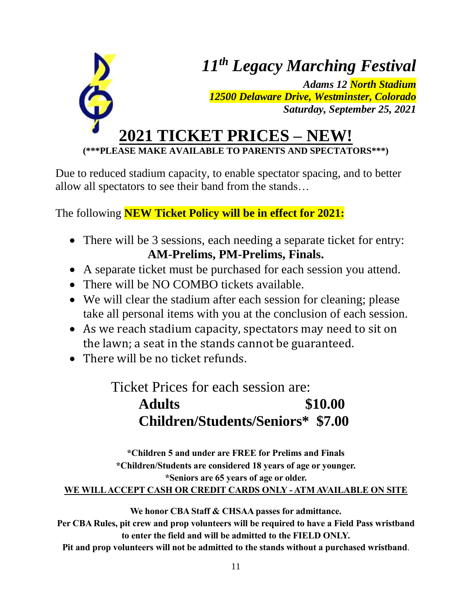

**(\*\*\*PLEASE MAKE AVAILABLE TO PARENTS AND SPECTATORS\*\*\*)**

Due to reduced stadium capacity, to enable spectator spacing, and to better allow all spectators to see their band from the stands…

The following **NEW Ticket Policy will be in effect for 2021:**

- There will be 3 sessions, each needing a separate ticket for entry: **AM-Prelims, PM-Prelims, Finals.**
- A separate ticket must be purchased for each session you attend.
- There will be NO COMBO tickets available.
- We will clear the stadium after each session for cleaning; please take all personal items with you at the conclusion of each session.
- As we reach stadium capacity, spectators may need to sit on the lawn; a seat in the stands cannot be guaranteed.
- There will be no ticket refunds.

Ticket Prices for each session are:

**Adults \$10.00 Children/Students/Seniors\* \$7.00**

**\*Children 5 and under are FREE for Prelims and Finals \*Children/Students are considered 18 years of age or younger. \*Seniors are 65 years of age or older. WE WILL ACCEPT CASH OR CREDIT CARDS ONLY - ATM AVAILABLE ON SITE**

**We honor CBA Staff & CHSAA passes for admittance.**

**Per CBA Rules, pit crew and prop volunteers will be required to have a Field Pass wristband to enter the field and will be admitted to the FIELD ONLY.** 

**Pit and prop volunteers will not be admitted to the stands without a purchased wristband**.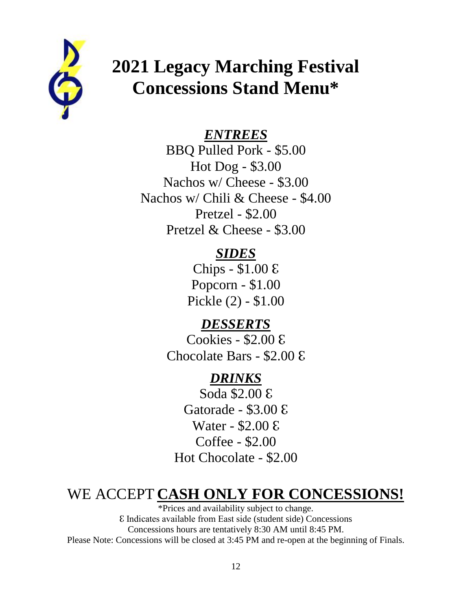

# **2021 Legacy Marching Festival Concessions Stand Menu\***

## *ENTREES*

BBQ Pulled Pork - \$5.00 Hot Dog - \$3.00 Nachos w/ Cheese - \$3.00 Nachos w/ Chili & Cheese - \$4.00 Pretzel - \$2.00 Pretzel & Cheese - \$3.00

## *SIDES*

Chips - \$1.00 ℇ Popcorn - \$1.00 Pickle (2) - \$1.00

## *DESSERTS*

Cookies - \$2.00 ℇ Chocolate Bars - \$2.00 ℇ

## *DRINKS*

Soda \$2.00 ℇ Gatorade - \$3.00 ℇ Water - \$2.00 ℇ Coffee - \$2.00 Hot Chocolate - \$2.00

# WE ACCEPT **CASH ONLY FOR CONCESSIONS!**

\*Prices and availability subject to change. ℇ Indicates available from East side (student side) Concessions Concessions hours are tentatively 8:30 AM until 8:45 PM. Please Note: Concessions will be closed at 3:45 PM and re-open at the beginning of Finals.